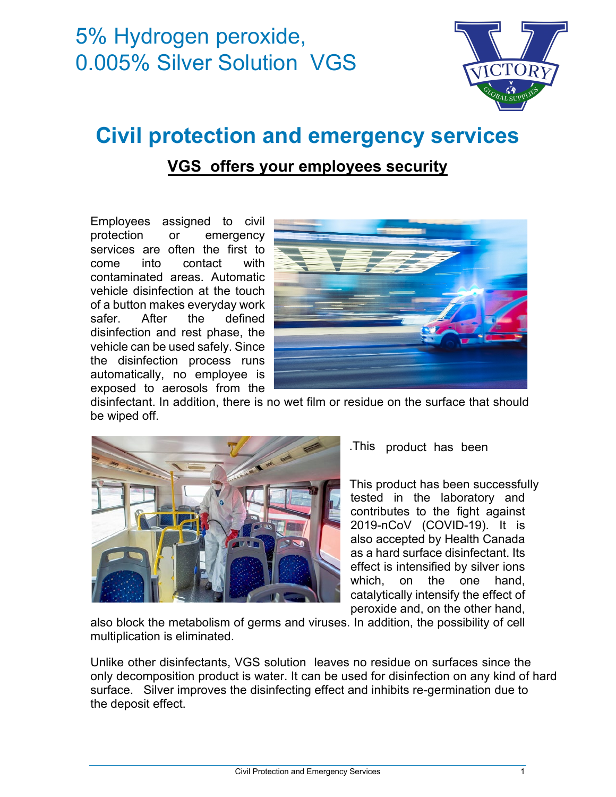# 5% Hydrogen peroxide, 0.005% Silver Solution VGS



# **Civil protection and emergency services**

## **VGS offers your employees security**

Employees assigned to civil protection or emergency services are often the first to come into contact with contaminated areas. Automatic vehicle disinfection at the touch of a button makes everyday work safer. After the defined disinfection and rest phase, the vehicle can be used safely. Since the disinfection process runs automatically, no employee is exposed to aerosols from the



disinfectant. In addition, there is no wet film or residue on the surface that should be wiped off.



#### .This product has been

tested in the laboratory and contributes to the fight against 2019-nCoV (COVID-19). It is also accepted by Health Canada as a hard surface disinfectant. Its effect is intensified by silver ions which, on the one hand, catalytically intensify the effect of peroxide and, on the other hand, This product has been successfully

also block the metabolism of germs and viruses. In addition, the possibility of cell multiplication is eliminated.

Unlike other disinfectants, VGS solution leaves no residue on surfaces since the only decomposition product is water. It can be used for disinfection on any kind of hard surface. Silver improves the disinfecting effect and inhibits re-germination due to the deposit effect.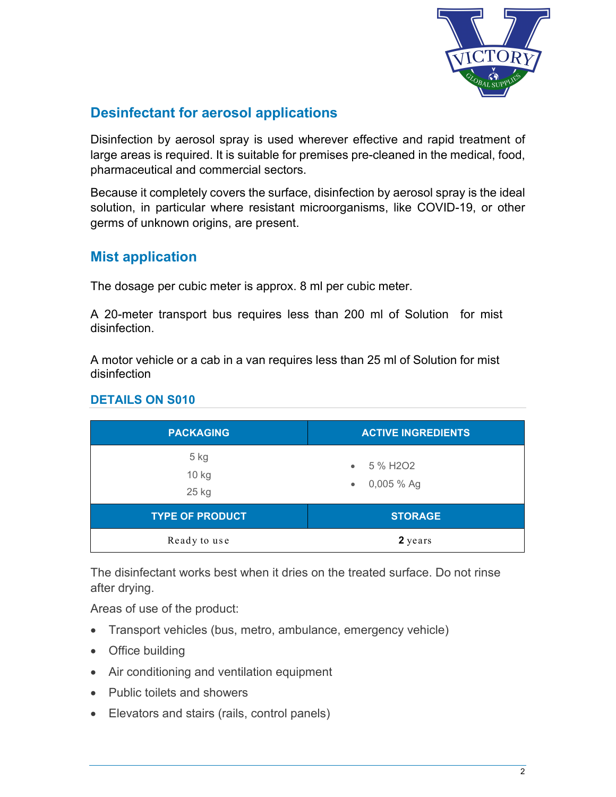

## **Desinfectant for aerosol applications**

Disinfection by aerosol spray is used wherever effective and rapid treatment of large areas is required. It is suitable for premises pre-cleaned in the medical, food, pharmaceutical and commercial sectors.

Because it completely covers the surface, disinfection by aerosol spray is the ideal solution, in particular where resistant microorganisms, like COVID-19, or other germs of unknown origins, are present.

### **Mist application**

The dosage per cubic meter is approx. 8 ml per cubic meter.

A 20-meter transport bus requires less than 200 ml of Solution for mist disinfection.

A motor vehicle or a cab in a van requires less than 25 ml of Solution for mist disinfection

| <b>PACKAGING</b>         | <b>ACTIVE INGREDIENTS</b>                      |
|--------------------------|------------------------------------------------|
| $5$ kg<br>10 kg<br>25 kg | $\bullet$ 5 % H2O2<br>$0,005%$ Ag<br>$\bullet$ |
| <b>TYPE OF PRODUCT</b>   | <b>STORAGE</b>                                 |
| Ready to use             | 2 years                                        |

#### **DETAILS ON S010**

The disinfectant works best when it dries on the treated surface. Do not rinse after drying.

Areas of use of the product:

- Transport vehicles (bus, metro, ambulance, emergency vehicle)
- Office building
- Air conditioning and ventilation equipment
- Public toilets and showers
- Elevators and stairs (rails, control panels)